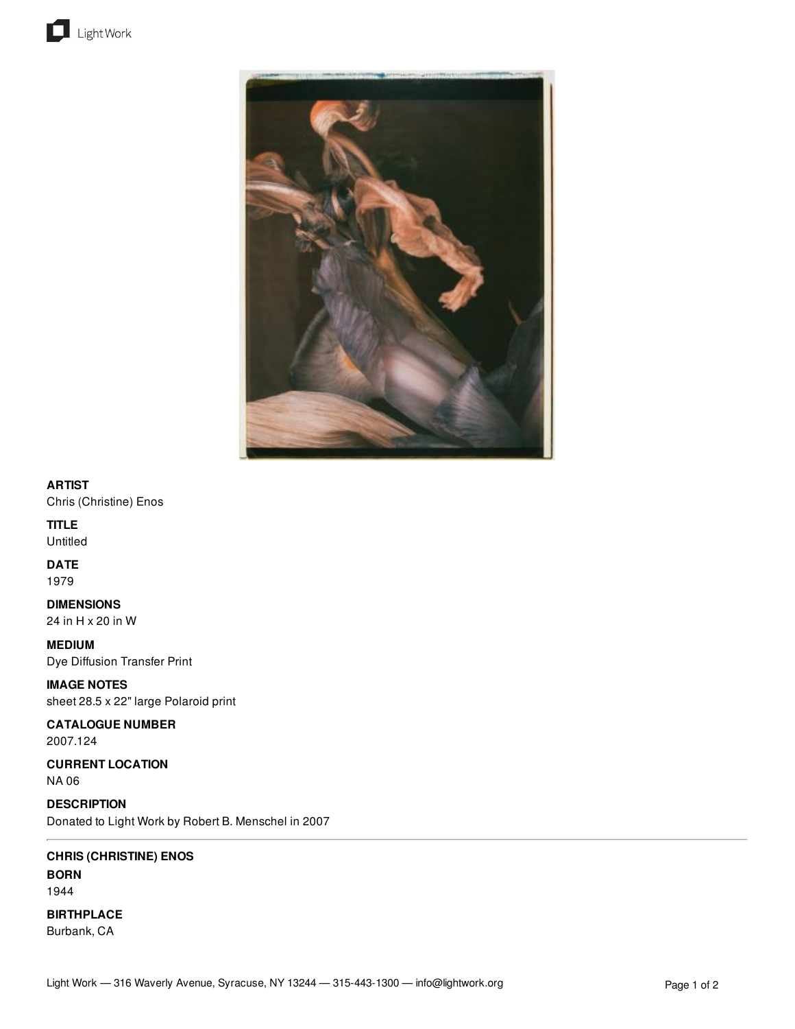



## **ARTIST**

Chris (Christine) Enos

# **TITLE**

**Untitled** 

## **DATE**

1979

**DIMENSIONS** 24 in H x 20 in W

**MEDIUM** Dye Diffusion Transfer Print

**IMAGE NOTES** sheet 28.5 x 22" large Polaroid print

# **CATALOGUE NUMBER**

2007.124

**CURRENT LOCATION** NA 06

**DESCRIPTION** Donated to Light Work by Robert B. Menschel in 2007

## **CHRIS (CHRISTINE) ENOS**

**BORN** 1944

**BIRTHPLACE**

Burbank, CA